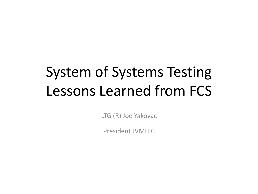## System of Systems Testing Lessons Learned from FCS

LTG (R) Joe Yakovac

President JVMLLC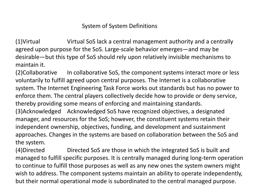#### System of System Definitions

(1)Virtual Virtual SoS lack a central management authority and a centrally agreed upon purpose for the SoS. Large-scale behavior emerges—and may be desirable—but this type of SoS should rely upon relatively invisible mechanisms to maintain it.

(2)Collaborative In collaborative SoS, the component systems interact more or less voluntarily to fulfill agreed upon central purposes. The Internet is a collaborative system. The Internet Engineering Task Force works out standards but has no power to enforce them. The central players collectively decide how to provide or deny service, thereby providing some means of enforcing and maintaining standards. (3)Acknowledged Acknowledged SoS have recognized objectives, a designated manager, and resources for the SoS; however, the constituent systems retain their independent ownership, objectives, funding, and development and sustainment approaches. Changes in the systems are based on collaboration between the SoS and the system.

(4)Directed Directed SoS are those in which the integrated SoS is built and managed to fulfill specific purposes. It is centrally managed during long-term operation to continue to fulfill those purposes as well as any new ones the system owners might wish to address. The component systems maintain an ability to operate independently, but their normal operational mode is subordinated to the central managed purpose.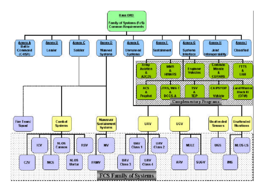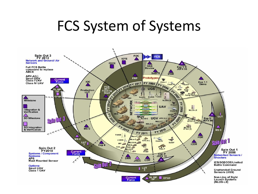### FCS System of Systems

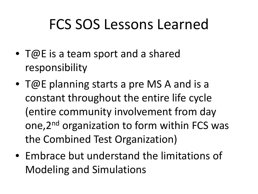## FCS SOS Lessons Learned

- T@E is a team sport and a shared responsibility
- T@E planning starts a pre MS A and is a constant throughout the entire life cycle (entire community involvement from day one, 2<sup>nd</sup> organization to form within FCS was the Combined Test Organization)
- Embrace but understand the limitations of Modeling and Simulations